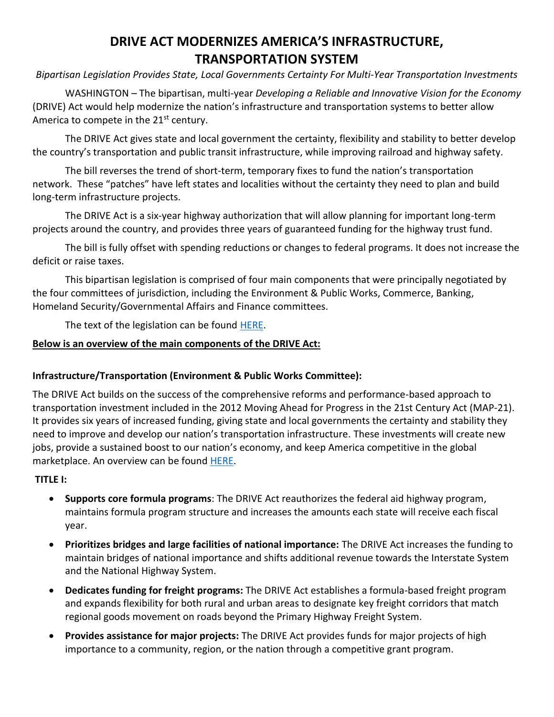# **DRIVE ACT MODERNIZES AMERICA'S INFRASTRUCTURE, TRANSPORTATION SYSTEM**

*Bipartisan Legislation Provides State, Local Governments Certainty For Multi-Year Transportation Investments*

WASHINGTON – The bipartisan, multi-year *Developing a Reliable and Innovative Vision for the Economy* (DRIVE) Act would help modernize the nation's infrastructure and transportation systems to better allow America to compete in the  $21<sup>st</sup>$  century.

The DRIVE Act gives state and local government the certainty, flexibility and stability to better develop the country's transportation and public transit infrastructure, while improving railroad and highway safety.

The bill reverses the trend of short-term, temporary fixes to fund the nation's transportation network. These "patches" have left states and localities without the certainty they need to plan and build long-term infrastructure projects.

The DRIVE Act is a six-year highway authorization that will allow planning for important long-term projects around the country, and provides three years of guaranteed funding for the highway trust fund.

The bill is fully offset with spending reductions or changes to federal programs. It does not increase the deficit or raise taxes.

This bipartisan legislation is comprised of four main components that were principally negotiated by the four committees of jurisdiction, including the Environment & Public Works, Commerce, Banking, Homeland Security/Governmental Affairs and Finance committees.

The text of the legislation can be found [HERE.](http://www.epw.senate.gov/public/_cache/files/7311e4f6-04eb-43b1-a5c2-7586dee4e805/edw15730.pdf)

### **Below is an overview of the main components of the DRIVE Act:**

### **Infrastructure/Transportation (Environment & Public Works Committee):**

The DRIVE Act builds on the success of the comprehensive reforms and performance-based approach to transportation investment included in the 2012 Moving Ahead for Progress in the 21st Century Act (MAP-21). It provides six years of increased funding, giving state and local governments the certainty and stability they need to improve and develop our nation's transportation infrastructure. These investments will create new jobs, provide a sustained boost to our nation's economy, and keep America competitive in the global marketplace. An overview can be found [HERE.](http://www.epw.senate.gov/public/_cache/files/3652ee8d-ceba-457b-b896-046af8df57ac/drive-act-two-pager.pdf)

### **TITLE I:**

- **Supports core formula programs**: The DRIVE Act reauthorizes the federal aid highway program, maintains formula program structure and increases the amounts each state will receive each fiscal year.
- **Prioritizes bridges and large facilities of national importance:** The DRIVE Act increases the funding to maintain bridges of national importance and shifts additional revenue towards the Interstate System and the National Highway System.
- **Dedicates funding for freight programs:** The DRIVE Act establishes a formula-based freight program and expands flexibility for both rural and urban areas to designate key freight corridors that match regional goods movement on roads beyond the Primary Highway Freight System.
- **Provides assistance for major projects:** The DRIVE Act provides funds for major projects of high importance to a community, region, or the nation through a competitive grant program.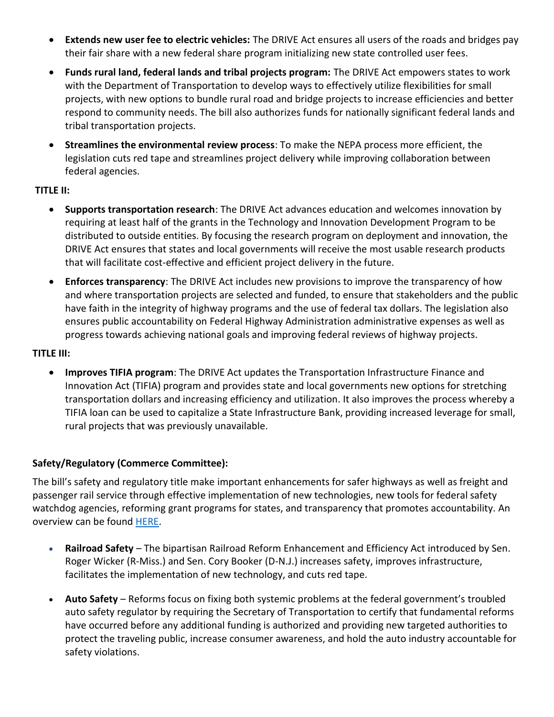- **Extends new user fee to electric vehicles:** The DRIVE Act ensures all users of the roads and bridges pay their fair share with a new federal share program initializing new state controlled user fees.
- **Funds rural land, federal lands and tribal projects program:** The DRIVE Act empowers states to work with the Department of Transportation to develop ways to effectively utilize flexibilities for small projects, with new options to bundle rural road and bridge projects to increase efficiencies and better respond to community needs. The bill also authorizes funds for nationally significant federal lands and tribal transportation projects.
- **Streamlines the environmental review process**: To make the NEPA process more efficient, the legislation cuts red tape and streamlines project delivery while improving collaboration between federal agencies.

### **TITLE II:**

- **Supports transportation research**: The DRIVE Act advances education and welcomes innovation by requiring at least half of the grants in the Technology and Innovation Development Program to be distributed to outside entities. By focusing the research program on deployment and innovation, the DRIVE Act ensures that states and local governments will receive the most usable research products that will facilitate cost-effective and efficient project delivery in the future.
- **Enforces transparency**: The DRIVE Act includes new provisions to improve the transparency of how and where transportation projects are selected and funded, to ensure that stakeholders and the public have faith in the integrity of highway programs and the use of federal tax dollars. The legislation also ensures public accountability on Federal Highway Administration administrative expenses as well as progress towards achieving national goals and improving federal reviews of highway projects.

### **TITLE III:**

 **Improves TIFIA program**: The DRIVE Act updates the Transportation Infrastructure Finance and Innovation Act (TIFIA) program and provides state and local governments new options for stretching transportation dollars and increasing efficiency and utilization. It also improves the process whereby a TIFIA loan can be used to capitalize a State Infrastructure Bank, providing increased leverage for small, rural projects that was previously unavailable.

### **Safety/Regulatory (Commerce Committee):**

The bill's safety and regulatory title make important enhancements for safer highways as well as freight and passenger rail service through effective implementation of new technologies, new tools for federal safety watchdog agencies, reforming grant programs for states, and transparency that promotes accountability. An overview can be found [HERE.](http://www.commerce.senate.gov/public/index.cfm?a=files.serve&File_id=E95CE2AC-EB93-4972-AECA-5959C3EC575E)

- **Railroad Safety** The bipartisan Railroad Reform Enhancement and Efficiency Act introduced by Sen. Roger Wicker (R-Miss.) and Sen. Cory Booker (D-N.J.) increases safety, improves infrastructure, facilitates the implementation of new technology, and cuts red tape.
- **Auto Safety** Reforms focus on fixing both systemic problems at the federal government's troubled auto safety regulator by requiring the Secretary of Transportation to certify that fundamental reforms have occurred before any additional funding is authorized and providing new targeted authorities to protect the traveling public, increase consumer awareness, and hold the auto industry accountable for safety violations.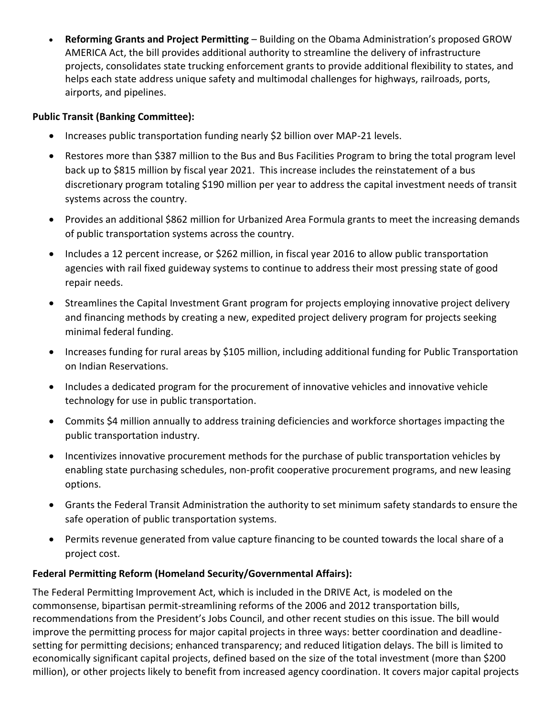**Reforming Grants and Project Permitting** – Building on the Obama Administration's proposed GROW AMERICA Act, the bill provides additional authority to streamline the delivery of infrastructure projects, consolidates state trucking enforcement grants to provide additional flexibility to states, and helps each state address unique safety and multimodal challenges for highways, railroads, ports, airports, and pipelines.

### **Public Transit (Banking Committee):**

- Increases public transportation funding nearly \$2 billion over MAP-21 levels.
- Restores more than \$387 million to the Bus and Bus Facilities Program to bring the total program level back up to \$815 million by fiscal year 2021. This increase includes the reinstatement of a bus discretionary program totaling \$190 million per year to address the capital investment needs of transit systems across the country.
- Provides an additional \$862 million for Urbanized Area Formula grants to meet the increasing demands of public transportation systems across the country.
- Includes a 12 percent increase, or \$262 million, in fiscal year 2016 to allow public transportation agencies with rail fixed guideway systems to continue to address their most pressing state of good repair needs.
- Streamlines the Capital Investment Grant program for projects employing innovative project delivery and financing methods by creating a new, expedited project delivery program for projects seeking minimal federal funding.
- Increases funding for rural areas by \$105 million, including additional funding for Public Transportation on Indian Reservations.
- Includes a dedicated program for the procurement of innovative vehicles and innovative vehicle technology for use in public transportation.
- Commits \$4 million annually to address training deficiencies and workforce shortages impacting the public transportation industry.
- Incentivizes innovative procurement methods for the purchase of public transportation vehicles by enabling state purchasing schedules, non-profit cooperative procurement programs, and new leasing options.
- Grants the Federal Transit Administration the authority to set minimum safety standards to ensure the safe operation of public transportation systems.
- Permits revenue generated from value capture financing to be counted towards the local share of a project cost.

## **Federal Permitting Reform (Homeland Security/Governmental Affairs):**

The Federal Permitting Improvement Act, which is included in the DRIVE Act, is modeled on the commonsense, bipartisan permit-streamlining reforms of the 2006 and 2012 transportation bills, recommendations from the President's Jobs Council, and other recent studies on this issue. The bill would improve the permitting process for major capital projects in three ways: better coordination and deadlinesetting for permitting decisions; enhanced transparency; and reduced litigation delays. The bill is limited to economically significant capital projects, defined based on the size of the total investment (more than \$200 million), or other projects likely to benefit from increased agency coordination. It covers major capital projects